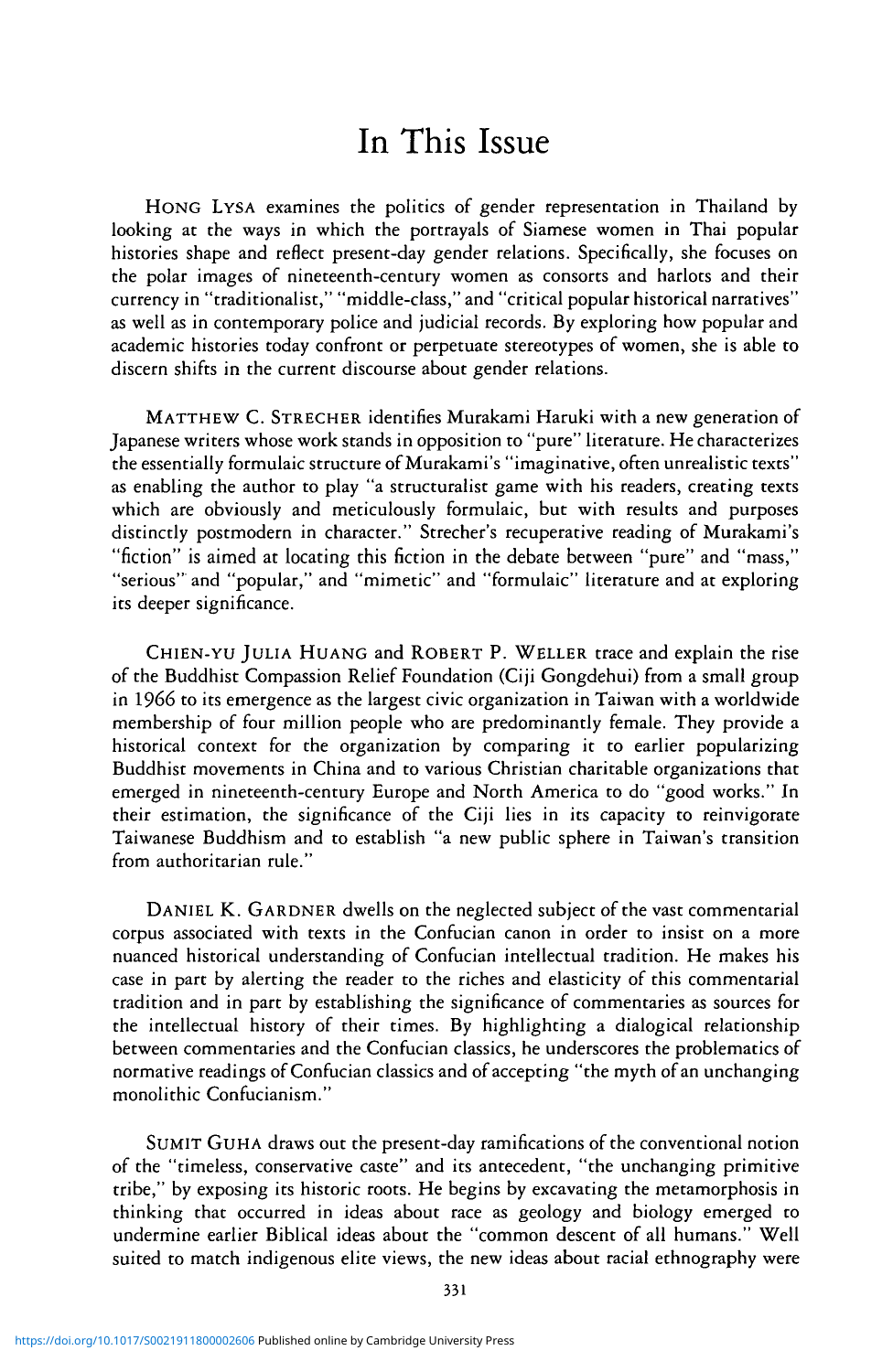## In This Issue

HONG LYSA examines the politics of gender representation in Thailand by looking at the ways in which the portrayals of Siamese women in Thai popular histories shape and reflect present-day gender relations. Specifically, she focuses on the polar images of nineteenth-century women as consorts and harlots and their currency in "traditionalist," "middle-class," and "critical popular historical narratives" as well as in contemporary police and judicial records. By exploring how popular and academic histories today confront or perpetuate stereotypes of women, she is able to discern shifts in the current discourse about gender relations.

MATTHEW C. STRECHER identifies Murakami Haruki with a new generation of Japanese writers whose work stands in opposition to "pure" literature. He characterizes the essentially formulaic structure of Murakami's "imaginative, often unrealistic texts" as enabling the author to play "a structuralist game with his readers, creating texts which are obviously and meticulously formulaic, but with results and purposes distinctly postmodern in character." Strecher's recuperative reading of Murakami's "fiction" is aimed at locating this fiction in the debate between "pure" and "mass," "serious" and "popular," and "mimetic" and "formulaic" literature and at exploring its deeper significance.

CHIEN-YU JULIA HUANG and ROBERT P. WELLER trace and explain the rise of the Buddhist Compassion Relief Foundation (Ciji Gongdehui) from a small group in 1966 to its emergence as the largest civic organization in Taiwan with a worldwide membership of four million people who are predominantly female. They provide a historical context for the organization by comparing it to earlier popularizing Buddhist movements in China and to various Christian charitable organizations that emerged in nineteenth-century Europe and North America to do "good works." In their estimation, the significance of the Ciji lies in its capacity to reinvigorate Taiwanese Buddhism and to establish "a new public sphere in Taiwan's transition from authoritarian rule."

DANIEL K. GARDNER dwells on the neglected subject of the vast commentarial corpus associated with texts in the Confucian canon in order to insist on a more nuanced historical understanding of Confucian intellectual tradition. He makes his case in part by alerting the reader to the riches and elasticity of this commentarial tradition and in part by establishing the significance of commentaries as sources for the intellectual history of their times. By highlighting a dialogical relationship between commentaries and the Confucian classics, he underscores the problematics of normative readings of Confucian classics and of accepting "the myth of an unchanging monolithic Confucianism."

SUMIT GuHA draws out the present-day ramifications of the conventional notion of the "timeless, conservative caste" and its antecedent, "the unchanging primitive tribe," by exposing its historic roots. He begins by excavating the metamorphosis in thinking that occurred in ideas about race as geology and biology emerged to undermine earlier Biblical ideas about the "common descent of all humans." Well suited to match indigenous elite views, the new ideas about racial ethnography were